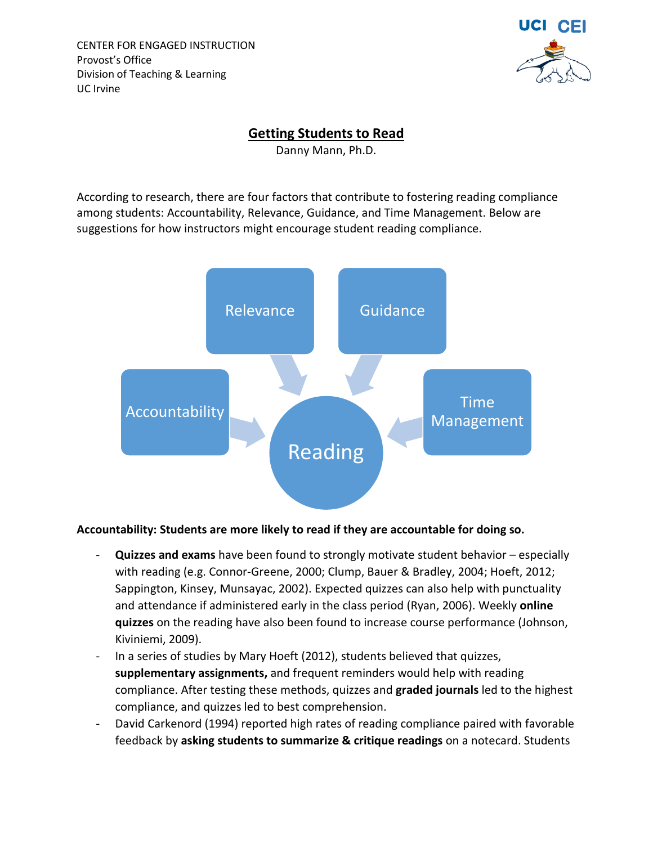CENTER FOR ENGAGED INSTRUCTION Provost's Office Division of Teaching & Learning UC Irvine



### **Getting Students to Read**

Danny Mann, Ph.D.

According to research, there are four factors that contribute to fostering reading compliance among students: Accountability, Relevance, Guidance, and Time Management. Below are suggestions for how instructors might encourage student reading compliance.



#### **Accountability: Students are more likely to read if they are accountable for doing so.**

- **Quizzes and exams** have been found to strongly motivate student behavior especially with reading (e.g. Connor-Greene, 2000; Clump, Bauer & Bradley, 2004; Hoeft, 2012; Sappington, Kinsey, Munsayac, 2002). Expected quizzes can also help with punctuality and attendance if administered early in the class period (Ryan, 2006). Weekly **online quizzes** on the reading have also been found to increase course performance (Johnson, Kiviniemi, 2009).
- In a series of studies by Mary Hoeft (2012), students believed that quizzes, **supplementary assignments,** and frequent reminders would help with reading compliance. After testing these methods, quizzes and **graded journals** led to the highest compliance, and quizzes led to best comprehension.
- David Carkenord (1994) reported high rates of reading compliance paired with favorable feedback by **asking students to summarize & critique readings** on a notecard. Students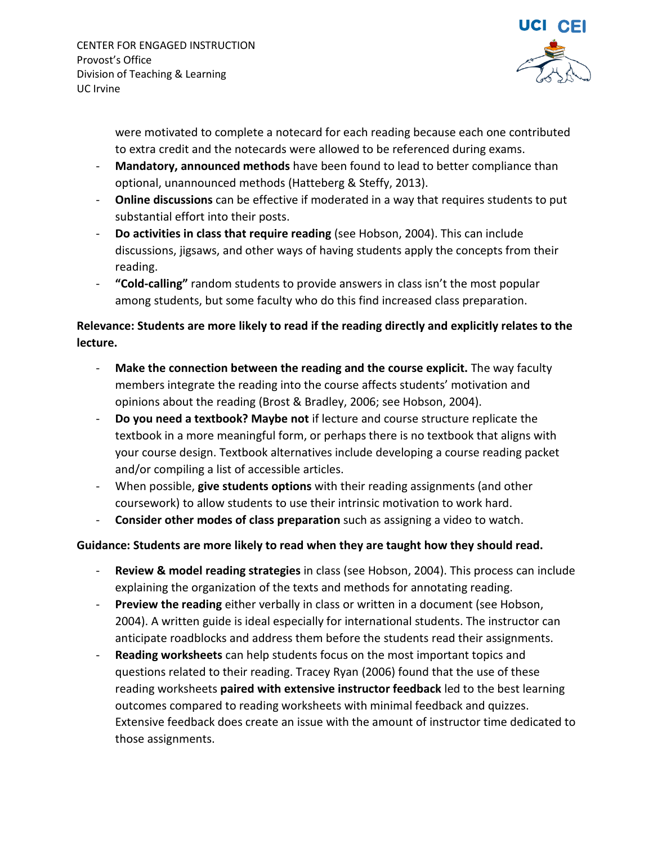

were motivated to complete a notecard for each reading because each one contributed to extra credit and the notecards were allowed to be referenced during exams.

- **Mandatory, announced methods** have been found to lead to better compliance than optional, unannounced methods (Hatteberg & Steffy, 2013).
- **Online discussions** can be effective if moderated in a way that requires students to put substantial effort into their posts.
- **Do activities in class that require reading** (see Hobson, 2004). This can include discussions, jigsaws, and other ways of having students apply the concepts from their reading.
- **"Cold-calling"** random students to provide answers in class isn't the most popular among students, but some faculty who do this find increased class preparation.

# **Relevance: Students are more likely to read if the reading directly and explicitly relates to the lecture.**

- Make the connection between the reading and the course explicit. The way faculty members integrate the reading into the course affects students' motivation and opinions about the reading (Brost & Bradley, 2006; see Hobson, 2004).
- **Do you need a textbook? Maybe not** if lecture and course structure replicate the textbook in a more meaningful form, or perhaps there is no textbook that aligns with your course design. Textbook alternatives include developing a course reading packet and/or compiling a list of accessible articles.
- When possible, **give students options** with their reading assignments (and other coursework) to allow students to use their intrinsic motivation to work hard.
- **Consider other modes of class preparation** such as assigning a video to watch.

## **Guidance: Students are more likely to read when they are taught how they should read.**

- **Review & model reading strategies** in class (see Hobson, 2004). This process can include explaining the organization of the texts and methods for annotating reading.
- **Preview the reading** either verbally in class or written in a document (see Hobson, 2004). A written guide is ideal especially for international students. The instructor can anticipate roadblocks and address them before the students read their assignments.
- **Reading worksheets** can help students focus on the most important topics and questions related to their reading. Tracey Ryan (2006) found that the use of these reading worksheets **paired with extensive instructor feedback** led to the best learning outcomes compared to reading worksheets with minimal feedback and quizzes. Extensive feedback does create an issue with the amount of instructor time dedicated to those assignments.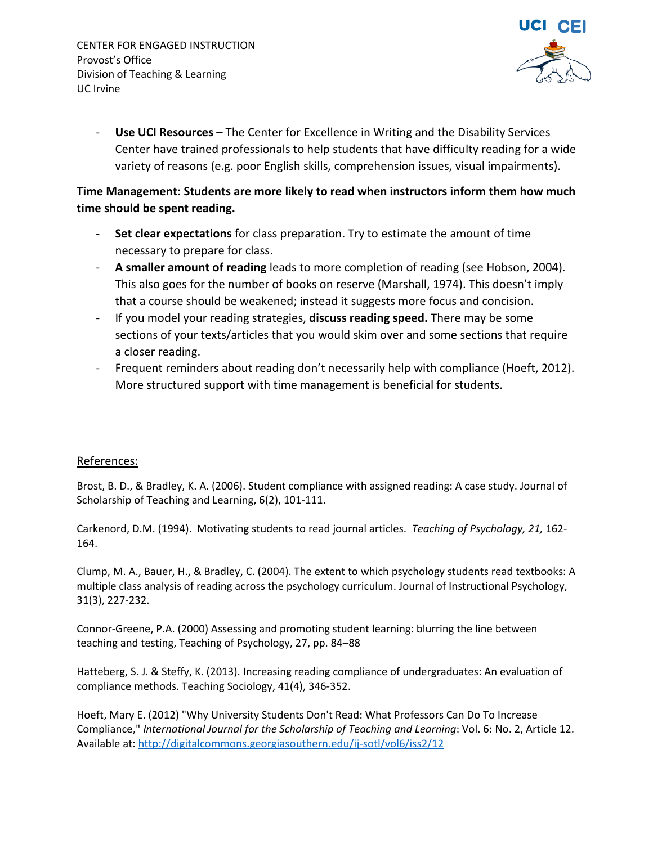CENTER FOR ENGAGED INSTRUCTION Provost's Office Division of Teaching & Learning UC Irvine



Use UCI Resources - The Center for Excellence in Writing and the Disability Services Center have trained professionals to help students that have difficulty reading for a wide variety of reasons (e.g. poor English skills, comprehension issues, visual impairments).

### **Time Management: Students are more likely to read when instructors inform them how much time should be spent reading.**

- **Set clear expectations** for class preparation. Try to estimate the amount of time necessary to prepare for class.
- **A smaller amount of reading** leads to more completion of reading (see Hobson, 2004). This also goes for the number of books on reserve (Marshall, 1974). This doesn't imply that a course should be weakened; instead it suggests more focus and concision.
- If you model your reading strategies, **discuss reading speed.** There may be some sections of your texts/articles that you would skim over and some sections that require a closer reading.
- Frequent reminders about reading don't necessarily help with compliance (Hoeft, 2012). More structured support with time management is beneficial for students.

#### References:

Brost, B. D., & Bradley, K. A. (2006). Student compliance with assigned reading: A case study. Journal of Scholarship of Teaching and Learning, 6(2), 101-111.

Carkenord, D.M. (1994). Motivating students to read journal articles. *Teaching of Psychology, 21,* 162- 164.

Clump, M. A., Bauer, H., & Bradley, C. (2004). The extent to which psychology students read textbooks: A multiple class analysis of reading across the psychology curriculum. Journal of Instructional Psychology, 31(3), 227-232.

Connor-Greene, P.A. (2000) Assessing and promoting student learning: blurring the line between teaching and testing, Teaching of Psychology, 27, pp. 84–88

Hatteberg, S. J. & Steffy, K. (2013). Increasing reading compliance of undergraduates: An evaluation of compliance methods. Teaching Sociology, 41(4), 346-352.

Hoeft, Mary E. (2012) "Why University Students Don't Read: What Professors Can Do To Increase Compliance," *International Journal for the Scholarship of Teaching and Learning*: Vol. 6: No. 2, Article 12. Available at[: http://digitalcommons.georgiasouthern.edu/ij-sotl/vol6/iss2/12](http://digitalcommons.georgiasouthern.edu/ij-sotl/vol6/iss2/12)